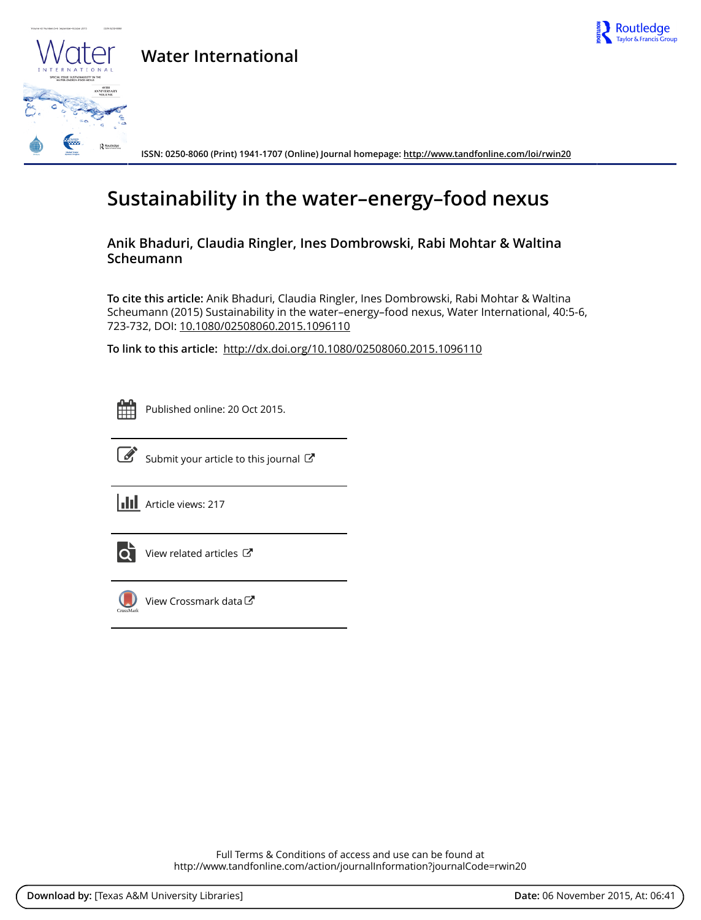

## **Water International**



**ISSN: 0250-8060 (Print) 1941-1707 (Online) Journal homepage:<http://www.tandfonline.com/loi/rwin20>**

# **Sustainability in the water–energy–food nexus**

**Anik Bhaduri, Claudia Ringler, Ines Dombrowski, Rabi Mohtar & Waltina Scheumann**

**To cite this article:** Anik Bhaduri, Claudia Ringler, Ines Dombrowski, Rabi Mohtar & Waltina Scheumann (2015) Sustainability in the water–energy–food nexus, Water International, 40:5-6, 723-732, DOI: [10.1080/02508060.2015.1096110](http://www.tandfonline.com/action/showCitFormats?doi=10.1080/02508060.2015.1096110)

**To link to this article:** <http://dx.doi.org/10.1080/02508060.2015.1096110>

Published online: 20 Oct 2015.



 $\overrightarrow{S}$  [Submit your article to this journal](http://www.tandfonline.com/action/authorSubmission?journalCode=rwin20&page=instructions)  $\overrightarrow{S}$ 





[View related articles](http://www.tandfonline.com/doi/mlt/10.1080/02508060.2015.1096110) C



[View Crossmark data](http://crossmark.crossref.org/dialog/?doi=10.1080/02508060.2015.1096110&domain=pdf&date_stamp=2015-10-20)<sup>C</sup>

Full Terms & Conditions of access and use can be found at <http://www.tandfonline.com/action/journalInformation?journalCode=rwin20>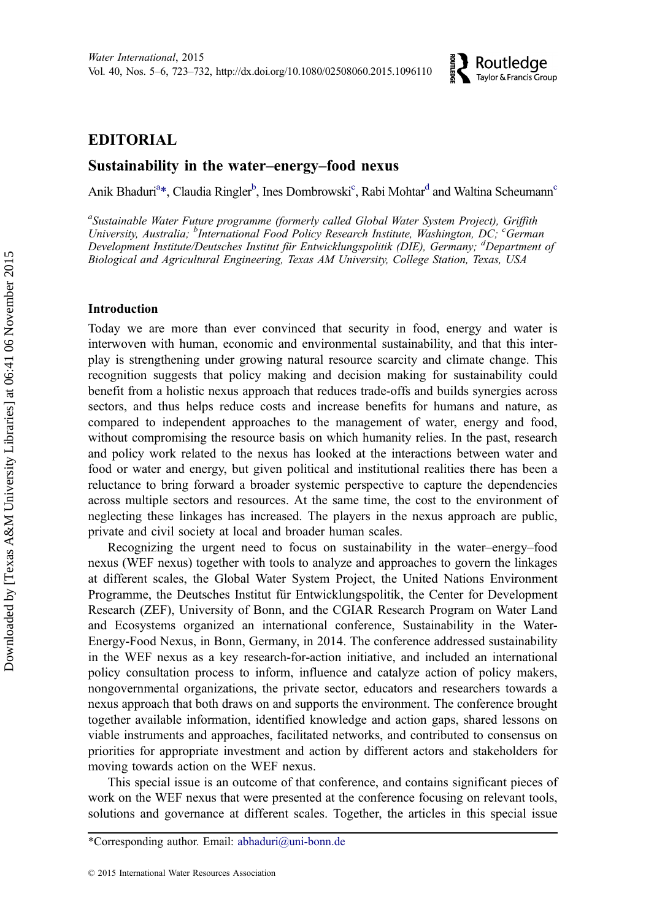

## EDITORIAL

## Sustainability in the water–energy–food nexus

Anik Bhaduri<sup>a</sup>\*, Claudia Ringler<sup>b</sup>, Ines Dombrowski<sup>c</sup>, Rabi Mohtar<sup>d</sup> and Waltina Scheumann<sup>c</sup>

a<br>Sustainable Water Future programme (formerly called Global Water System Project), Griffith University, Australia; <sup>b</sup>International Food Policy Research Institute, Washington, DC; <sup>c</sup>German Development Institute/Deutsches Institut für Entwicklungspolitik (DIE), Germany; <sup>d</sup>Department of Biological and Agricultural Engineering, Texas AM University, College Station, Texas, USA

#### Introduction

Today we are more than ever convinced that security in food, energy and water is interwoven with human, economic and environmental sustainability, and that this interplay is strengthening under growing natural resource scarcity and climate change. This recognition suggests that policy making and decision making for sustainability could benefit from a holistic nexus approach that reduces trade-offs and builds synergies across sectors, and thus helps reduce costs and increase benefits for humans and nature, as compared to independent approaches to the management of water, energy and food, without compromising the resource basis on which humanity relies. In the past, research and policy work related to the nexus has looked at the interactions between water and food or water and energy, but given political and institutional realities there has been a reluctance to bring forward a broader systemic perspective to capture the dependencies across multiple sectors and resources. At the same time, the cost to the environment of neglecting these linkages has increased. The players in the nexus approach are public, private and civil society at local and broader human scales.

Recognizing the urgent need to focus on sustainability in the water–energy–food nexus (WEF nexus) together with tools to analyze and approaches to govern the linkages at different scales, the Global Water System Project, the United Nations Environment Programme, the Deutsches Institut für Entwicklungspolitik, the Center for Development Research (ZEF), University of Bonn, and the CGIAR Research Program on Water Land and Ecosystems organized an international conference, Sustainability in the Water-Energy-Food Nexus, in Bonn, Germany, in 2014. The conference addressed sustainability in the WEF nexus as a key research-for-action initiative, and included an international policy consultation process to inform, influence and catalyze action of policy makers, nongovernmental organizations, the private sector, educators and researchers towards a nexus approach that both draws on and supports the environment. The conference brought together available information, identified knowledge and action gaps, shared lessons on viable instruments and approaches, facilitated networks, and contributed to consensus on priorities for appropriate investment and action by different actors and stakeholders for moving towards action on the WEF nexus.

This special issue is an outcome of that conference, and contains significant pieces of work on the WEF nexus that were presented at the conference focusing on relevant tools, solutions and governance at different scales. Together, the articles in this special issue

<sup>\*</sup>Corresponding author. Email: abhaduri@uni-bonn.de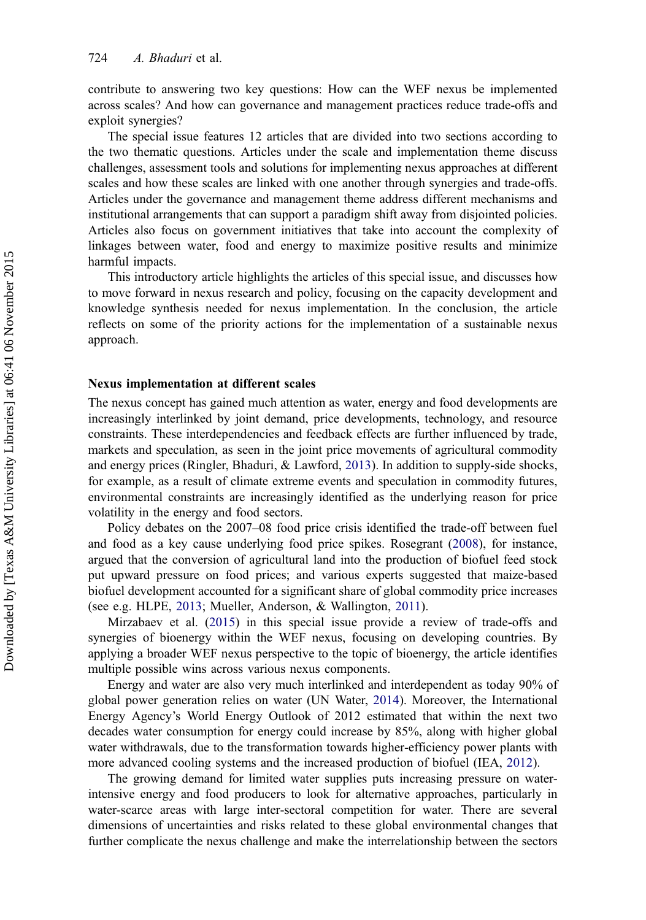contribute to answering two key questions: How can the WEF nexus be implemented across scales? And how can governance and management practices reduce trade-offs and exploit synergies?

The special issue features 12 articles that are divided into two sections according to the two thematic questions. Articles under the scale and implementation theme discuss challenges, assessment tools and solutions for implementing nexus approaches at different scales and how these scales are linked with one another through synergies and trade-offs. Articles under the governance and management theme address different mechanisms and institutional arrangements that can support a paradigm shift away from disjointed policies. Articles also focus on government initiatives that take into account the complexity of linkages between water, food and energy to maximize positive results and minimize harmful impacts.

This introductory article highlights the articles of this special issue, and discusses how to move forward in nexus research and policy, focusing on the capacity development and knowledge synthesis needed for nexus implementation. In the conclusion, the article reflects on some of the priority actions for the implementation of a sustainable nexus approach.

#### Nexus implementation at different scales

The nexus concept has gained much attention as water, energy and food developments are increasingly interlinked by joint demand, price developments, technology, and resource constraints. These interdependencies and feedback effects are further influenced by trade, markets and speculation, as seen in the joint price movements of agricultural commodity and energy prices (Ringler, Bhaduri, & Lawford, [2013\)](#page-9-0). In addition to supply-side shocks, for example, as a result of climate extreme events and speculation in commodity futures, environmental constraints are increasingly identified as the underlying reason for price volatility in the energy and food sectors.

Policy debates on the 2007–08 food price crisis identified the trade-off between fuel and food as a key cause underlying food price spikes. Rosegrant ([2008\)](#page-9-0), for instance, argued that the conversion of agricultural land into the production of biofuel feed stock put upward pressure on food prices; and various experts suggested that maize-based biofuel development accounted for a significant share of global commodity price increases (see e.g. HLPE, [2013;](#page-9-0) Mueller, Anderson, & Wallington, [2011\)](#page-9-0).

Mirzabaev et al. ([2015\)](#page-9-0) in this special issue provide a review of trade-offs and synergies of bioenergy within the WEF nexus, focusing on developing countries. By applying a broader WEF nexus perspective to the topic of bioenergy, the article identifies multiple possible wins across various nexus components.

Energy and water are also very much interlinked and interdependent as today 90% of global power generation relies on water (UN Water, [2014](#page-10-0)). Moreover, the International Energy Agency's World Energy Outlook of 2012 estimated that within the next two decades water consumption for energy could increase by 85%, along with higher global water withdrawals, due to the transformation towards higher-efficiency power plants with more advanced cooling systems and the increased production of biofuel (IEA, [2012](#page-9-0)).

The growing demand for limited water supplies puts increasing pressure on waterintensive energy and food producers to look for alternative approaches, particularly in water-scarce areas with large inter-sectoral competition for water. There are several dimensions of uncertainties and risks related to these global environmental changes that further complicate the nexus challenge and make the interrelationship between the sectors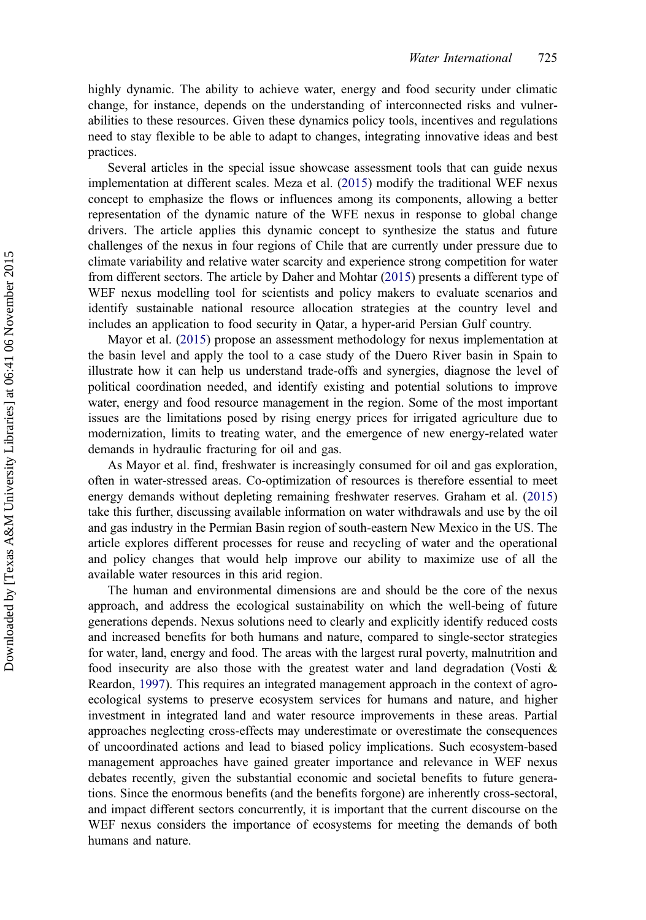highly dynamic. The ability to achieve water, energy and food security under climatic change, for instance, depends on the understanding of interconnected risks and vulnerabilities to these resources. Given these dynamics policy tools, incentives and regulations need to stay flexible to be able to adapt to changes, integrating innovative ideas and best practices.

Several articles in the special issue showcase assessment tools that can guide nexus implementation at different scales. Meza et al. ([2015\)](#page-9-0) modify the traditional WEF nexus concept to emphasize the flows or influences among its components, allowing a better representation of the dynamic nature of the WFE nexus in response to global change drivers. The article applies this dynamic concept to synthesize the status and future challenges of the nexus in four regions of Chile that are currently under pressure due to climate variability and relative water scarcity and experience strong competition for water from different sectors. The article by Daher and Mohtar [\(2015](#page-9-0)) presents a different type of WEF nexus modelling tool for scientists and policy makers to evaluate scenarios and identify sustainable national resource allocation strategies at the country level and includes an application to food security in Qatar, a hyper-arid Persian Gulf country.

Mayor et al. ([2015\)](#page-9-0) propose an assessment methodology for nexus implementation at the basin level and apply the tool to a case study of the Duero River basin in Spain to illustrate how it can help us understand trade-offs and synergies, diagnose the level of political coordination needed, and identify existing and potential solutions to improve water, energy and food resource management in the region. Some of the most important issues are the limitations posed by rising energy prices for irrigated agriculture due to modernization, limits to treating water, and the emergence of new energy-related water demands in hydraulic fracturing for oil and gas.

As Mayor et al. find, freshwater is increasingly consumed for oil and gas exploration, often in water-stressed areas. Co-optimization of resources is therefore essential to meet energy demands without depleting remaining freshwater reserves. Graham et al. ([2015\)](#page-10-0) take this further, discussing available information on water withdrawals and use by the oil and gas industry in the Permian Basin region of south-eastern New Mexico in the US. The article explores different processes for reuse and recycling of water and the operational and policy changes that would help improve our ability to maximize use of all the available water resources in this arid region.

The human and environmental dimensions are and should be the core of the nexus approach, and address the ecological sustainability on which the well-being of future generations depends. Nexus solutions need to clearly and explicitly identify reduced costs and increased benefits for both humans and nature, compared to single-sector strategies for water, land, energy and food. The areas with the largest rural poverty, malnutrition and food insecurity are also those with the greatest water and land degradation (Vosti & Reardon, [1997](#page-10-0)). This requires an integrated management approach in the context of agroecological systems to preserve ecosystem services for humans and nature, and higher investment in integrated land and water resource improvements in these areas. Partial approaches neglecting cross-effects may underestimate or overestimate the consequences of uncoordinated actions and lead to biased policy implications. Such ecosystem-based management approaches have gained greater importance and relevance in WEF nexus debates recently, given the substantial economic and societal benefits to future generations. Since the enormous benefits (and the benefits forgone) are inherently cross-sectoral, and impact different sectors concurrently, it is important that the current discourse on the WEF nexus considers the importance of ecosystems for meeting the demands of both humans and nature.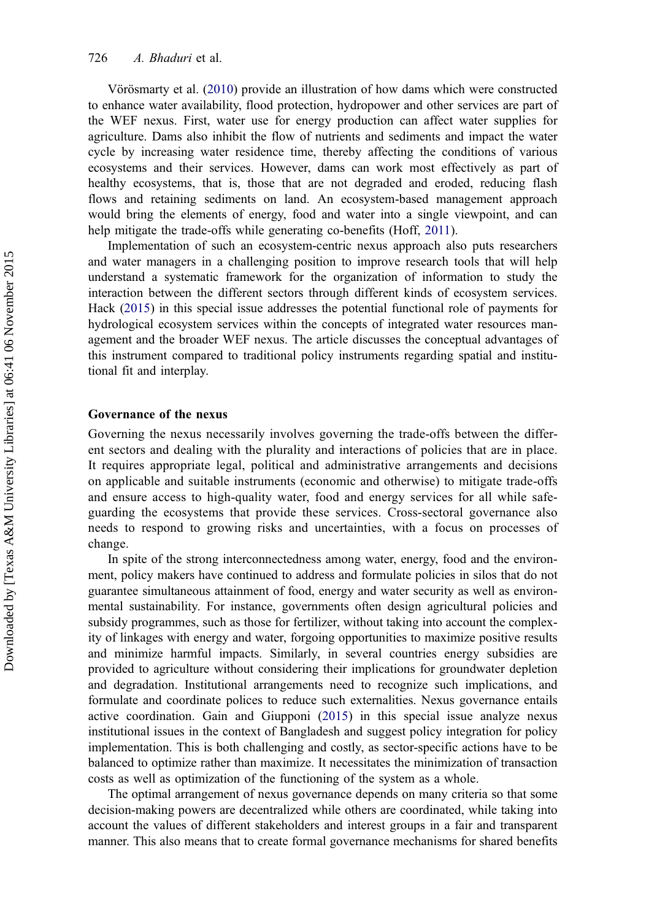Vörösmarty et al. [\(2010](#page-10-0)) provide an illustration of how dams which were constructed to enhance water availability, flood protection, hydropower and other services are part of the WEF nexus. First, water use for energy production can affect water supplies for agriculture. Dams also inhibit the flow of nutrients and sediments and impact the water cycle by increasing water residence time, thereby affecting the conditions of various ecosystems and their services. However, dams can work most effectively as part of healthy ecosystems, that is, those that are not degraded and eroded, reducing flash flows and retaining sediments on land. An ecosystem-based management approach would bring the elements of energy, food and water into a single viewpoint, and can help mitigate the trade-offs while generating co-benefits (Hoff, [2011](#page-9-0)).

Implementation of such an ecosystem-centric nexus approach also puts researchers and water managers in a challenging position to improve research tools that will help understand a systematic framework for the organization of information to study the interaction between the different sectors through different kinds of ecosystem services. Hack ([2015\)](#page-9-0) in this special issue addresses the potential functional role of payments for hydrological ecosystem services within the concepts of integrated water resources management and the broader WEF nexus. The article discusses the conceptual advantages of this instrument compared to traditional policy instruments regarding spatial and institutional fit and interplay.

#### Governance of the nexus

Governing the nexus necessarily involves governing the trade-offs between the different sectors and dealing with the plurality and interactions of policies that are in place. It requires appropriate legal, political and administrative arrangements and decisions on applicable and suitable instruments (economic and otherwise) to mitigate trade-offs and ensure access to high-quality water, food and energy services for all while safeguarding the ecosystems that provide these services. Cross-sectoral governance also needs to respond to growing risks and uncertainties, with a focus on processes of change.

In spite of the strong interconnectedness among water, energy, food and the environment, policy makers have continued to address and formulate policies in silos that do not guarantee simultaneous attainment of food, energy and water security as well as environmental sustainability. For instance, governments often design agricultural policies and subsidy programmes, such as those for fertilizer, without taking into account the complexity of linkages with energy and water, forgoing opportunities to maximize positive results and minimize harmful impacts. Similarly, in several countries energy subsidies are provided to agriculture without considering their implications for groundwater depletion and degradation. Institutional arrangements need to recognize such implications, and formulate and coordinate polices to reduce such externalities. Nexus governance entails active coordination. Gain and Giupponi [\(2015](#page-9-0)) in this special issue analyze nexus institutional issues in the context of Bangladesh and suggest policy integration for policy implementation. This is both challenging and costly, as sector-specific actions have to be balanced to optimize rather than maximize. It necessitates the minimization of transaction costs as well as optimization of the functioning of the system as a whole.

The optimal arrangement of nexus governance depends on many criteria so that some decision-making powers are decentralized while others are coordinated, while taking into account the values of different stakeholders and interest groups in a fair and transparent manner. This also means that to create formal governance mechanisms for shared benefits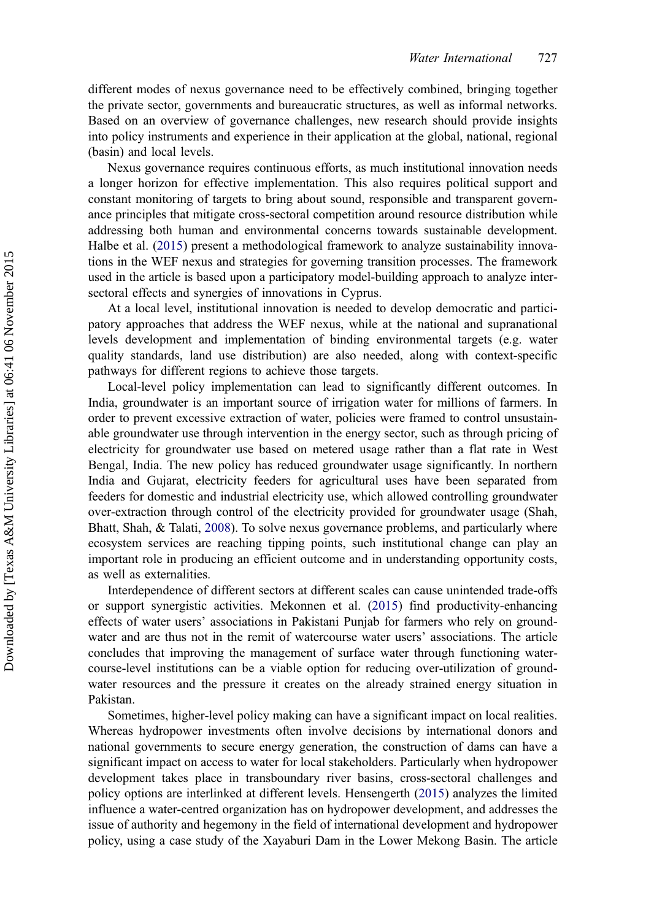different modes of nexus governance need to be effectively combined, bringing together the private sector, governments and bureaucratic structures, as well as informal networks. Based on an overview of governance challenges, new research should provide insights into policy instruments and experience in their application at the global, national, regional (basin) and local levels.

Nexus governance requires continuous efforts, as much institutional innovation needs a longer horizon for effective implementation. This also requires political support and constant monitoring of targets to bring about sound, responsible and transparent governance principles that mitigate cross-sectoral competition around resource distribution while addressing both human and environmental concerns towards sustainable development. Halbe et al. ([2015\)](#page-9-0) present a methodological framework to analyze sustainability innovations in the WEF nexus and strategies for governing transition processes. The framework used in the article is based upon a participatory model-building approach to analyze intersectoral effects and synergies of innovations in Cyprus.

At a local level, institutional innovation is needed to develop democratic and participatory approaches that address the WEF nexus, while at the national and supranational levels development and implementation of binding environmental targets (e.g. water quality standards, land use distribution) are also needed, along with context-specific pathways for different regions to achieve those targets.

Local-level policy implementation can lead to significantly different outcomes. In India, groundwater is an important source of irrigation water for millions of farmers. In order to prevent excessive extraction of water, policies were framed to control unsustainable groundwater use through intervention in the energy sector, such as through pricing of electricity for groundwater use based on metered usage rather than a flat rate in West Bengal, India. The new policy has reduced groundwater usage significantly. In northern India and Gujarat, electricity feeders for agricultural uses have been separated from feeders for domestic and industrial electricity use, which allowed controlling groundwater over-extraction through control of the electricity provided for groundwater usage (Shah, Bhatt, Shah, & Talati, [2008](#page-10-0)). To solve nexus governance problems, and particularly where ecosystem services are reaching tipping points, such institutional change can play an important role in producing an efficient outcome and in understanding opportunity costs, as well as externalities.

Interdependence of different sectors at different scales can cause unintended trade-offs or support synergistic activities. Mekonnen et al. [\(2015](#page-9-0)) find productivity-enhancing effects of water users' associations in Pakistani Punjab for farmers who rely on groundwater and are thus not in the remit of watercourse water users' associations. The article concludes that improving the management of surface water through functioning watercourse-level institutions can be a viable option for reducing over-utilization of groundwater resources and the pressure it creates on the already strained energy situation in Pakistan.

Sometimes, higher-level policy making can have a significant impact on local realities. Whereas hydropower investments often involve decisions by international donors and national governments to secure energy generation, the construction of dams can have a significant impact on access to water for local stakeholders. Particularly when hydropower development takes place in transboundary river basins, cross-sectoral challenges and policy options are interlinked at different levels. Hensengerth ([2015\)](#page-9-0) analyzes the limited influence a water-centred organization has on hydropower development, and addresses the issue of authority and hegemony in the field of international development and hydropower policy, using a case study of the Xayaburi Dam in the Lower Mekong Basin. The article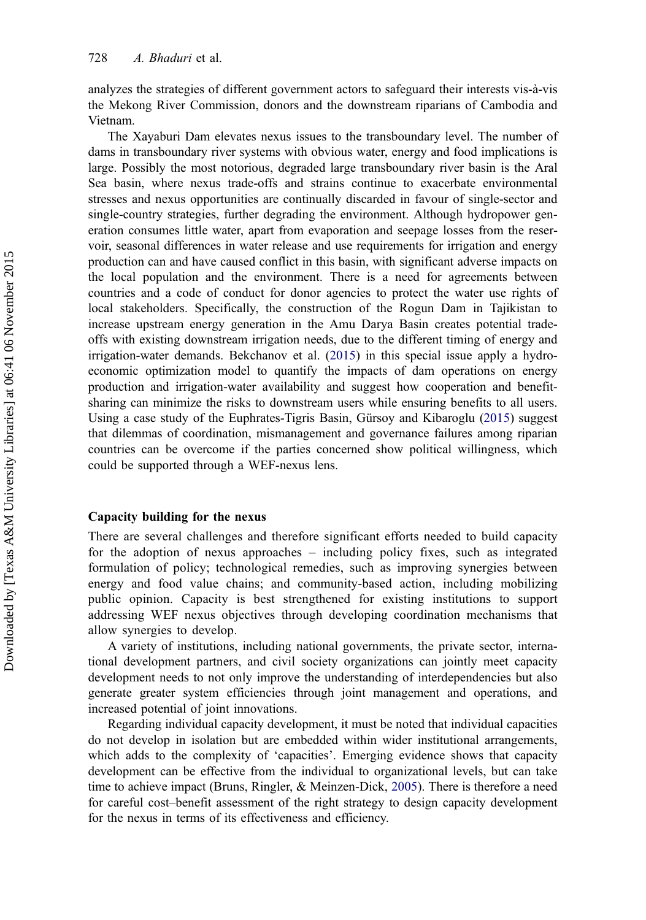analyzes the strategies of different government actors to safeguard their interests vis-à-vis the Mekong River Commission, donors and the downstream riparians of Cambodia and Vietnam.

The Xayaburi Dam elevates nexus issues to the transboundary level. The number of dams in transboundary river systems with obvious water, energy and food implications is large. Possibly the most notorious, degraded large transboundary river basin is the Aral Sea basin, where nexus trade-offs and strains continue to exacerbate environmental stresses and nexus opportunities are continually discarded in favour of single-sector and single-country strategies, further degrading the environment. Although hydropower generation consumes little water, apart from evaporation and seepage losses from the reservoir, seasonal differences in water release and use requirements for irrigation and energy production can and have caused conflict in this basin, with significant adverse impacts on the local population and the environment. There is a need for agreements between countries and a code of conduct for donor agencies to protect the water use rights of local stakeholders. Specifically, the construction of the Rogun Dam in Tajikistan to increase upstream energy generation in the Amu Darya Basin creates potential tradeoffs with existing downstream irrigation needs, due to the different timing of energy and irrigation-water demands. Bekchanov et al. ([2015\)](#page-9-0) in this special issue apply a hydroeconomic optimization model to quantify the impacts of dam operations on energy production and irrigation-water availability and suggest how cooperation and benefitsharing can minimize the risks to downstream users while ensuring benefits to all users. Using a case study of the Euphrates-Tigris Basin, Gürsoy and Kibaroglu ([2015\)](#page-9-0) suggest that dilemmas of coordination, mismanagement and governance failures among riparian countries can be overcome if the parties concerned show political willingness, which could be supported through a WEF-nexus lens.

#### Capacity building for the nexus

There are several challenges and therefore significant efforts needed to build capacity for the adoption of nexus approaches – including policy fixes, such as integrated formulation of policy; technological remedies, such as improving synergies between energy and food value chains; and community-based action, including mobilizing public opinion. Capacity is best strengthened for existing institutions to support addressing WEF nexus objectives through developing coordination mechanisms that allow synergies to develop.

A variety of institutions, including national governments, the private sector, international development partners, and civil society organizations can jointly meet capacity development needs to not only improve the understanding of interdependencies but also generate greater system efficiencies through joint management and operations, and increased potential of joint innovations.

Regarding individual capacity development, it must be noted that individual capacities do not develop in isolation but are embedded within wider institutional arrangements, which adds to the complexity of 'capacities'. Emerging evidence shows that capacity development can be effective from the individual to organizational levels, but can take time to achieve impact (Bruns, Ringler, & Meinzen-Dick, [2005\)](#page-9-0). There is therefore a need for careful cost–benefit assessment of the right strategy to design capacity development for the nexus in terms of its effectiveness and efficiency.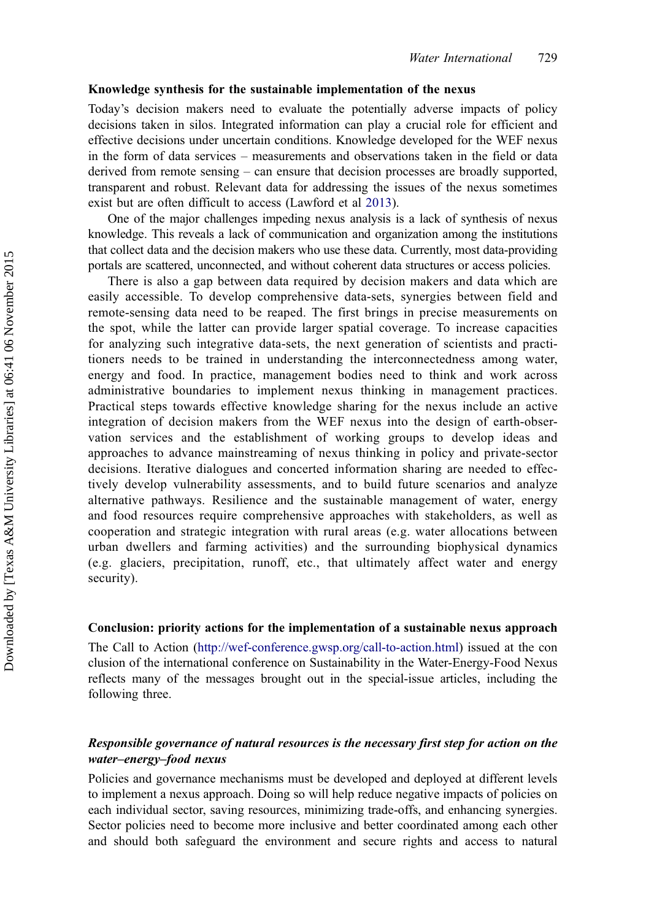### Knowledge synthesis for the sustainable implementation of the nexus

Today's decision makers need to evaluate the potentially adverse impacts of policy decisions taken in silos. Integrated information can play a crucial role for efficient and effective decisions under uncertain conditions. Knowledge developed for the WEF nexus in the form of data services – measurements and observations taken in the field or data derived from remote sensing – can ensure that decision processes are broadly supported, transparent and robust. Relevant data for addressing the issues of the nexus sometimes exist but are often difficult to access (Lawford et al [2013](#page-9-0)).

One of the major challenges impeding nexus analysis is a lack of synthesis of nexus knowledge. This reveals a lack of communication and organization among the institutions that collect data and the decision makers who use these data. Currently, most data-providing portals are scattered, unconnected, and without coherent data structures or access policies.

There is also a gap between data required by decision makers and data which are easily accessible. To develop comprehensive data-sets, synergies between field and remote-sensing data need to be reaped. The first brings in precise measurements on the spot, while the latter can provide larger spatial coverage. To increase capacities for analyzing such integrative data-sets, the next generation of scientists and practitioners needs to be trained in understanding the interconnectedness among water, energy and food. In practice, management bodies need to think and work across administrative boundaries to implement nexus thinking in management practices. Practical steps towards effective knowledge sharing for the nexus include an active integration of decision makers from the WEF nexus into the design of earth-observation services and the establishment of working groups to develop ideas and approaches to advance mainstreaming of nexus thinking in policy and private-sector decisions. Iterative dialogues and concerted information sharing are needed to effectively develop vulnerability assessments, and to build future scenarios and analyze alternative pathways. Resilience and the sustainable management of water, energy and food resources require comprehensive approaches with stakeholders, as well as cooperation and strategic integration with rural areas (e.g. water allocations between urban dwellers and farming activities) and the surrounding biophysical dynamics (e.g. glaciers, precipitation, runoff, etc., that ultimately affect water and energy security).

#### Conclusion: priority actions for the implementation of a sustainable nexus approach

The Call to Action (<http://wef-conference.gwsp.org/call-to-action.html>) issued at the con clusion of the international conference on Sustainability in the Water-Energy-Food Nexus reflects many of the messages brought out in the special-issue articles, including the following three.

## Responsible governance of natural resources is the necessary first step for action on the water–energy–food nexus

Policies and governance mechanisms must be developed and deployed at different levels to implement a nexus approach. Doing so will help reduce negative impacts of policies on each individual sector, saving resources, minimizing trade-offs, and enhancing synergies. Sector policies need to become more inclusive and better coordinated among each other and should both safeguard the environment and secure rights and access to natural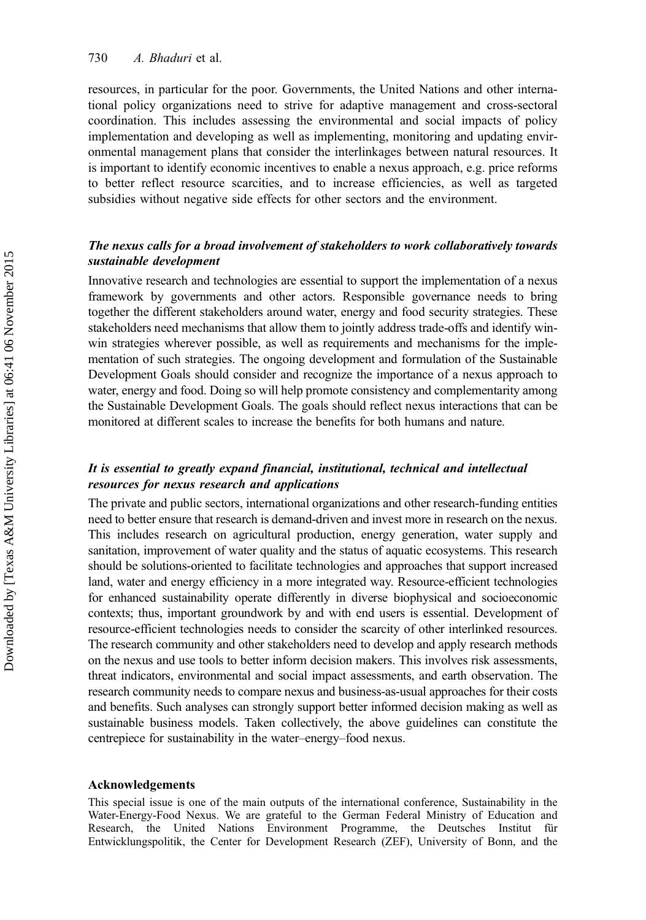resources, in particular for the poor. Governments, the United Nations and other international policy organizations need to strive for adaptive management and cross-sectoral coordination. This includes assessing the environmental and social impacts of policy implementation and developing as well as implementing, monitoring and updating environmental management plans that consider the interlinkages between natural resources. It is important to identify economic incentives to enable a nexus approach, e.g. price reforms to better reflect resource scarcities, and to increase efficiencies, as well as targeted subsidies without negative side effects for other sectors and the environment.

## The nexus calls for a broad involvement of stakeholders to work collaboratively towards sustainable development

Innovative research and technologies are essential to support the implementation of a nexus framework by governments and other actors. Responsible governance needs to bring together the different stakeholders around water, energy and food security strategies. These stakeholders need mechanisms that allow them to jointly address trade-offs and identify winwin strategies wherever possible, as well as requirements and mechanisms for the implementation of such strategies. The ongoing development and formulation of the Sustainable Development Goals should consider and recognize the importance of a nexus approach to water, energy and food. Doing so will help promote consistency and complementarity among the Sustainable Development Goals. The goals should reflect nexus interactions that can be monitored at different scales to increase the benefits for both humans and nature.

## It is essential to greatly expand financial, institutional, technical and intellectual resources for nexus research and applications

The private and public sectors, international organizations and other research-funding entities need to better ensure that research is demand-driven and invest more in research on the nexus. This includes research on agricultural production, energy generation, water supply and sanitation, improvement of water quality and the status of aquatic ecosystems. This research should be solutions-oriented to facilitate technologies and approaches that support increased land, water and energy efficiency in a more integrated way. Resource-efficient technologies for enhanced sustainability operate differently in diverse biophysical and socioeconomic contexts; thus, important groundwork by and with end users is essential. Development of resource-efficient technologies needs to consider the scarcity of other interlinked resources. The research community and other stakeholders need to develop and apply research methods on the nexus and use tools to better inform decision makers. This involves risk assessments, threat indicators, environmental and social impact assessments, and earth observation. The research community needs to compare nexus and business-as-usual approaches for their costs and benefits. Such analyses can strongly support better informed decision making as well as sustainable business models. Taken collectively, the above guidelines can constitute the centrepiece for sustainability in the water–energy–food nexus.

#### Acknowledgements

This special issue is one of the main outputs of the international conference, Sustainability in the Water-Energy-Food Nexus. We are grateful to the German Federal Ministry of Education and Research, the United Nations Environment Programme, the Deutsches Institut für Entwicklungspolitik, the Center for Development Research (ZEF), University of Bonn, and the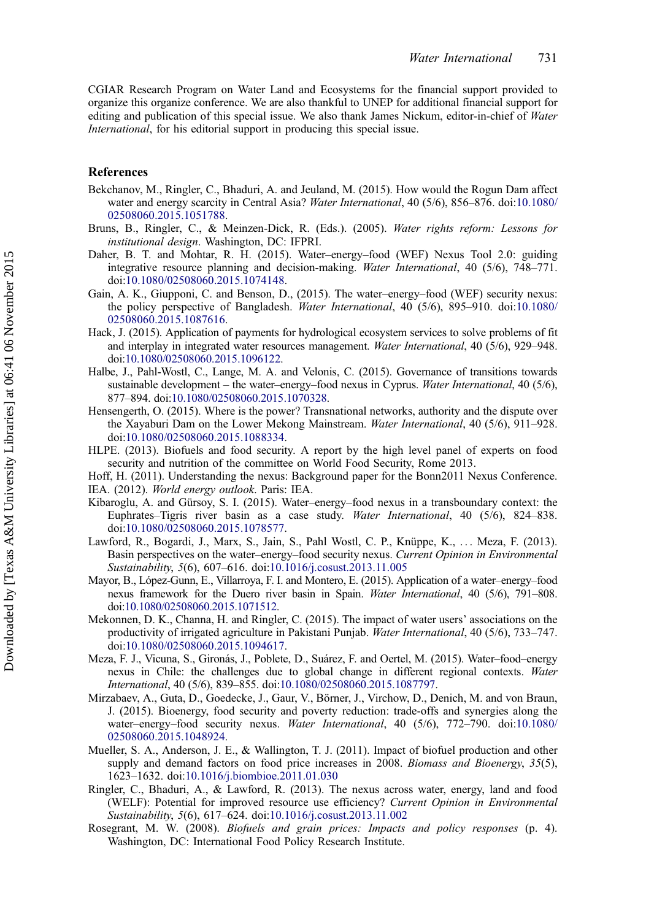<span id="page-9-0"></span>CGIAR Research Program on Water Land and Ecosystems for the financial support provided to organize this organize conference. We are also thankful to UNEP for additional financial support for editing and publication of this special issue. We also thank James Nickum, editor-in-chief of Water International, for his editorial support in producing this special issue.

#### References

- Bekchanov, M., Ringler, C., Bhaduri, A. and Jeuland, M. (2015). How would the Rogun Dam affect water and energy scarcity in Central Asia? Water International, 40 (5/6), 856–876. doi:[10.1080/](http://dx.doi.org/10.1080/02508060.2015.1051788) [02508060.2015.1051788.](http://dx.doi.org/10.1080/02508060.2015.1051788)
- Bruns, B., Ringler, C., & Meinzen-Dick, R. (Eds.). (2005). Water rights reform: Lessons for institutional design. Washington, DC: IFPRI.
- Daher, B. T. and Mohtar, R. H. (2015). Water–energy–food (WEF) Nexus Tool 2.0: guiding integrative resource planning and decision-making. Water International, 40 (5/6), 748–771. doi:[10.1080/02508060.2015.1074148](http://dx.doi.org/10.1080/02508060.2015.1074148).
- Gain, A. K., Giupponi, C. and Benson, D., (2015). The water–energy–food (WEF) security nexus: the policy perspective of Bangladesh. Water International, 40 (5/6), 895–910. doi:[10.1080/](http://dx.doi.org/10.1080/02508060.2015.1087616) [02508060.2015.1087616.](http://dx.doi.org/10.1080/02508060.2015.1087616)
- Hack, J. (2015). Application of payments for hydrological ecosystem services to solve problems of fit and interplay in integrated water resources management. Water International, 40 (5/6), 929–948. doi:[10.1080/02508060.2015.1096122](http://dx.doi.org/10.1080/02508060.2015.1096122).
- Halbe, J., Pahl-Wostl, C., Lange, M. A. and Velonis, C. (2015). Governance of transitions towards sustainable development – the water–energy–food nexus in Cyprus. Water International, 40 (5/6), 877–894. doi:[10.1080/02508060.2015.1070328.](http://dx.doi.org/10.1080/02508060.2015.1070328)
- Hensengerth, O. (2015). Where is the power? Transnational networks, authority and the dispute over the Xayaburi Dam on the Lower Mekong Mainstream. Water International, 40 (5/6), 911–928. doi:[10.1080/02508060.2015.1088334](http://dx.doi.org/10.1080/02508060.2015.1088334).
- HLPE. (2013). Biofuels and food security. A report by the high level panel of experts on food security and nutrition of the committee on World Food Security, Rome 2013.
- Hoff, H. (2011). Understanding the nexus: Background paper for the Bonn2011 Nexus Conference.
- IEA. (2012). World energy outlook. Paris: IEA.
- Kibaroglu, A. and Gürsoy, S. I. (2015). Water–energy–food nexus in a transboundary context: the Euphrates–Tigris river basin as a case study. Water International, 40 (5/6), 824–838. doi:[10.1080/02508060.2015.1078577](http://dx.doi.org/10.1080/02508060.2015.1078577).
- Lawford, R., Bogardi, J., Marx, S., Jain, S., Pahl Wostl, C. P., Knüppe, K., . . . Meza, F. (2013). Basin perspectives on the water–energy–food security nexus. Current Opinion in Environmental Sustainability, 5(6), 607–616. doi:[10.1016/j.cosust.2013.11.005](http://dx.doi.org/10.1016/j.cosust.2013.11.005)
- Mayor, B., López-Gunn, E., Villarroya, F. I. and Montero, E. (2015). Application of a water–energy–food nexus framework for the Duero river basin in Spain. Water International, 40 (5/6), 791–808. doi:[10.1080/02508060.2015.1071512](http://dx.doi.org/10.1080/02508060.2015.1071512).
- Mekonnen, D. K., Channa, H. and Ringler, C. (2015). The impact of water users' associations on the productivity of irrigated agriculture in Pakistani Punjab. Water International, 40 (5/6), 733–747. doi:[10.1080/02508060.2015.1094617](http://dx.doi.org/10.1080/02508060.2015.1094617).
- Meza, F. J., Vicuna, S., Gironás, J., Poblete, D., Suárez, F. and Oertel, M. (2015). Water–food–energy nexus in Chile: the challenges due to global change in different regional contexts. Water International, 40 (5/6), 839–855. doi:[10.1080/02508060.2015.1087797](http://dx.doi.org/10.1080/02508060.2015.1087797).
- Mirzabaev, A., Guta, D., Goedecke, J., Gaur, V., Börner, J., Virchow, D., Denich, M. and von Braun, J. (2015). Bioenergy, food security and poverty reduction: trade-offs and synergies along the water–energy–food security nexus. Water International, 40 (5/6), 772–790. doi:[10.1080/](http://dx.doi.org/10.1080/02508060.2015.1048924) [02508060.2015.1048924.](http://dx.doi.org/10.1080/02508060.2015.1048924)
- Mueller, S. A., Anderson, J. E., & Wallington, T. J. (2011). Impact of biofuel production and other supply and demand factors on food price increases in 2008. Biomass and Bioenergy, 35(5), 1623–1632. doi:[10.1016/j.biombioe.2011.01.030](http://dx.doi.org/10.1016/j.biombioe.2011.01.030)
- Ringler, C., Bhaduri, A., & Lawford, R. (2013). The nexus across water, energy, land and food (WELF): Potential for improved resource use efficiency? Current Opinion in Environmental Sustainability, 5(6), 617–624. doi:[10.1016/j.cosust.2013.11.002](http://dx.doi.org/10.1016/j.cosust.2013.11.002)
- Rosegrant, M. W. (2008). Biofuels and grain prices: Impacts and policy responses (p. 4). Washington, DC: International Food Policy Research Institute.